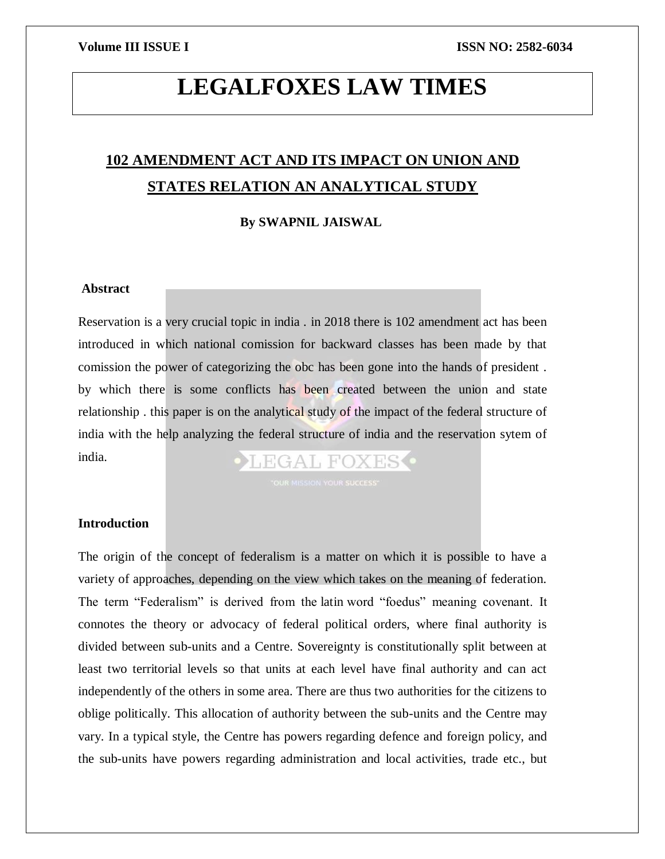## **LEGALFOXES LAW TIMES**

## **102 AMENDMENT ACT AND ITS IMPACT ON UNION AND STATES RELATION AN ANALYTICAL STUDY**

### **By SWAPNIL JAISWAL**

### **Abstract**

Reservation is a very crucial topic in india . in 2018 there is 102 amendment act has been introduced in which national comission for backward classes has been made by that comission the power of categorizing the obc has been gone into the hands of president . by which there is some conflicts has been created between the union and state relationship . this paper is on the analytical study of the impact of the federal structure of india with the help analyzing the federal structure of india and the reservation sytem of india. LEGAL FOXES O

### **Introduction**

The origin of the concept of federalism is a matter on which it is possible to have a variety of approaches, depending on the view which takes on the meaning of federation. The term "Federalism" is derived from the latin word "foedus" meaning covenant. It connotes the theory or advocacy of federal political orders, where final authority is divided between sub-units and a Centre. Sovereignty is constitutionally split between at least two territorial levels so that units at each level have final authority and can act independently of the others in some area. There are thus two authorities for the citizens to oblige politically. This allocation of authority between the sub-units and the Centre may vary. In a typical style, the Centre has powers regarding defence and foreign policy, and the sub-units have powers regarding administration and local activities, trade etc., but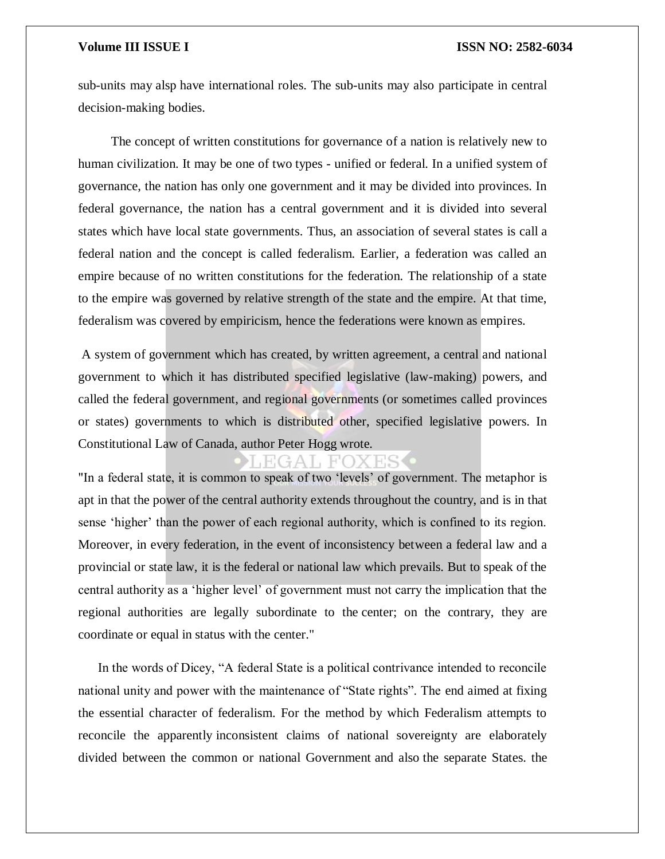sub-units may alsp have international roles. The sub-units may also participate in central decision-making bodies.

 The concept of written constitutions for governance of a nation is relatively new to human civilization. It may be one of two types - unified or federal. In a unified system of governance, the nation has only one government and it may be divided into provinces. In federal governance, the nation has a central government and it is divided into several states which have local state governments. Thus, an association of several states is call a federal nation and the concept is called federalism. Earlier, a federation was called an empire because of no written constitutions for the federation. The relationship of a state to the empire was governed by relative strength of the state and the empire. At that time, federalism was covered by empiricism, hence the federations were known as empires.

A system of government which has created, by written agreement, a central and national government to which it has distributed specified legislative (law-making) powers, and called the federal government, and regional governments (or sometimes called provinces or states) governments to which is distributed other, specified legislative powers. In Constitutional Law of Canada, author Peter Hogg wrote.

GAL FOXESC "In a federal state, it is common to speak of two 'levels' of government. The metaphor is apt in that the power of the central authority extends throughout the country, and is in that sense 'higher' than the power of each regional authority, which is confined to its region. Moreover, in every federation, in the event of inconsistency between a federal law and a provincial or state law, it is the federal or national law which prevails. But to speak of the central authority as a 'higher level' of government must not carry the implication that the regional authorities are legally subordinate to the center; on the contrary, they are coordinate or equal in status with the center."

 In the words of Dicey, "A federal State is a political contrivance intended to reconcile national unity and power with the maintenance of "State rights". The end aimed at fixing the essential character of federalism. For the method by which Federalism attempts to reconcile the apparently inconsistent claims of national sovereignty are elaborately divided between the common or national Government and also the separate States. the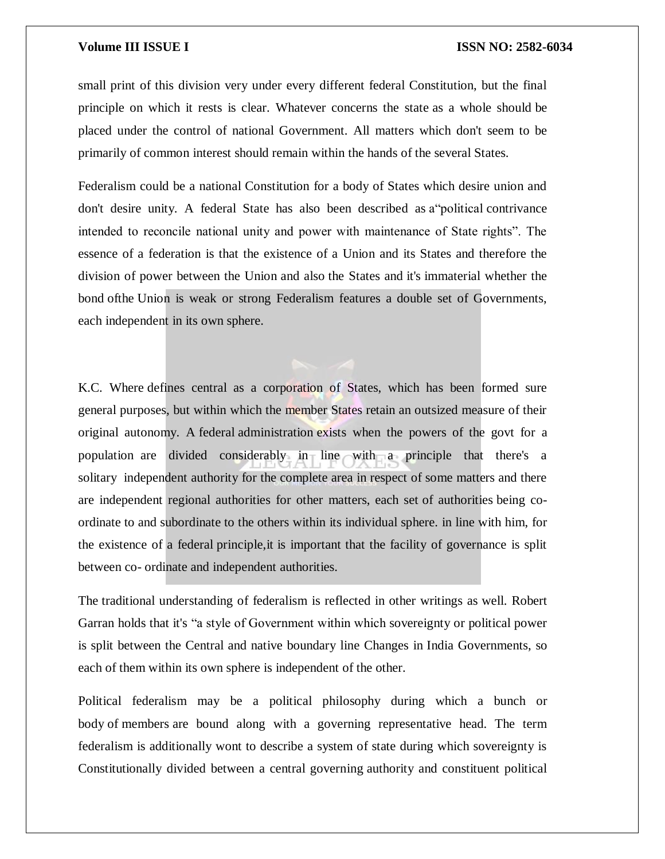small print of this division very under every different federal Constitution, but the final principle on which it rests is clear. Whatever concerns the state as a whole should be placed under the control of national Government. All matters which don't seem to be primarily of common interest should remain within the hands of the several States.

Federalism could be a national Constitution for a body of States which desire union and don't desire unity. A federal State has also been described as a"political contrivance intended to reconcile national unity and power with maintenance of State rights". The essence of a federation is that the existence of a Union and its States and therefore the division of power between the Union and also the States and it's immaterial whether the bond ofthe Union is weak or strong Federalism features a double set of Governments, each independent in its own sphere.

K.C. Where defines central as a corporation of States, which has been formed sure general purposes, but within which the member States retain an outsized measure of their original autonomy. A federal administration exists when the powers of the govt for a population are divided considerably in line with a principle that there's a solitary independent authority for the complete area in respect of some matters and there are independent regional authorities for other matters, each set of authorities being coordinate to and subordinate to the others within its individual sphere. in line with him, for the existence of a federal principle,it is important that the facility of governance is split between co- ordinate and independent authorities.

The traditional understanding of federalism is reflected in other writings as well. Robert Garran holds that it's "a style of Government within which sovereignty or political power is split between the Central and native boundary line Changes in India Governments, so each of them within its own sphere is independent of the other.

Political federalism may be a political philosophy during which a bunch or body of members are bound along with a governing representative head. The term federalism is additionally wont to describe a system of state during which sovereignty is Constitutionally divided between a central governing authority and constituent political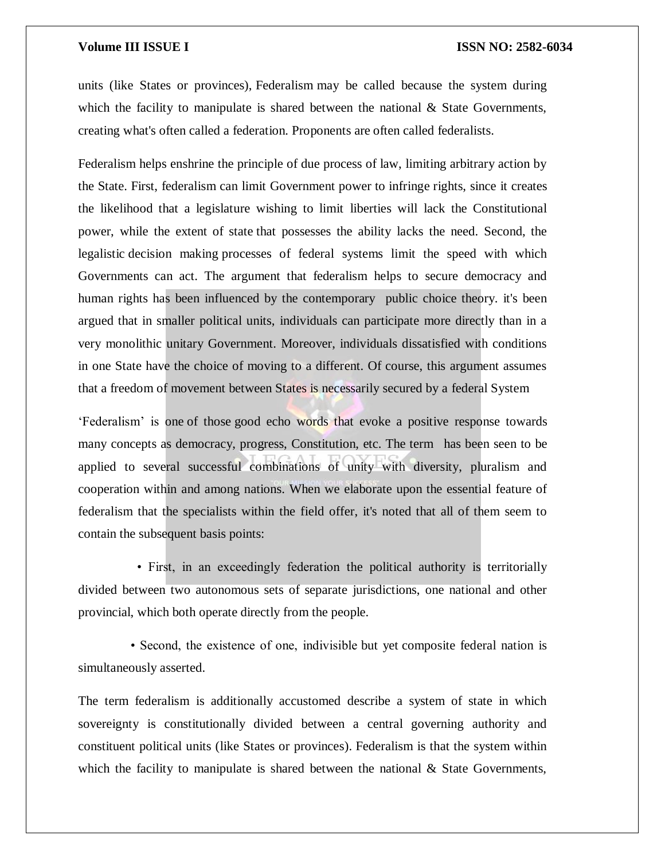units (like States or provinces), Federalism may be called because the system during which the facility to manipulate is shared between the national  $\&$  State Governments, creating what's often called a federation. Proponents are often called federalists.

Federalism helps enshrine the principle of due process of law, limiting arbitrary action by the State. First, federalism can limit Government power to infringe rights, since it creates the likelihood that a legislature wishing to limit liberties will lack the Constitutional power, while the extent of state that possesses the ability lacks the need. Second, the legalistic decision making processes of federal systems limit the speed with which Governments can act. The argument that federalism helps to secure democracy and human rights has been influenced by the contemporary public choice theory. it's been argued that in smaller political units, individuals can participate more directly than in a very monolithic unitary Government. Moreover, individuals dissatisfied with conditions in one State have the choice of moving to a different. Of course, this argument assumes that a freedom of movement between States is necessarily secured by a federal System

'Federalism' is one of those good echo words that evoke a positive response towards many concepts as democracy, progress, Constitution, etc. The term has been seen to be applied to several successful combinations of unity with diversity, pluralism and cooperation within and among nations. When we elaborate upon the essential feature of federalism that the specialists within the field offer, it's noted that all of them seem to contain the subsequent basis points:

 • First, in an exceedingly federation the political authority is territorially divided between two autonomous sets of separate jurisdictions, one national and other provincial, which both operate directly from the people.

 • Second, the existence of one, indivisible but yet composite federal nation is simultaneously asserted.

The term federalism is additionally accustomed describe a system of state in which sovereignty is constitutionally divided between a central governing authority and constituent political units (like States or provinces). Federalism is that the system within which the facility to manipulate is shared between the national  $\&$  State Governments,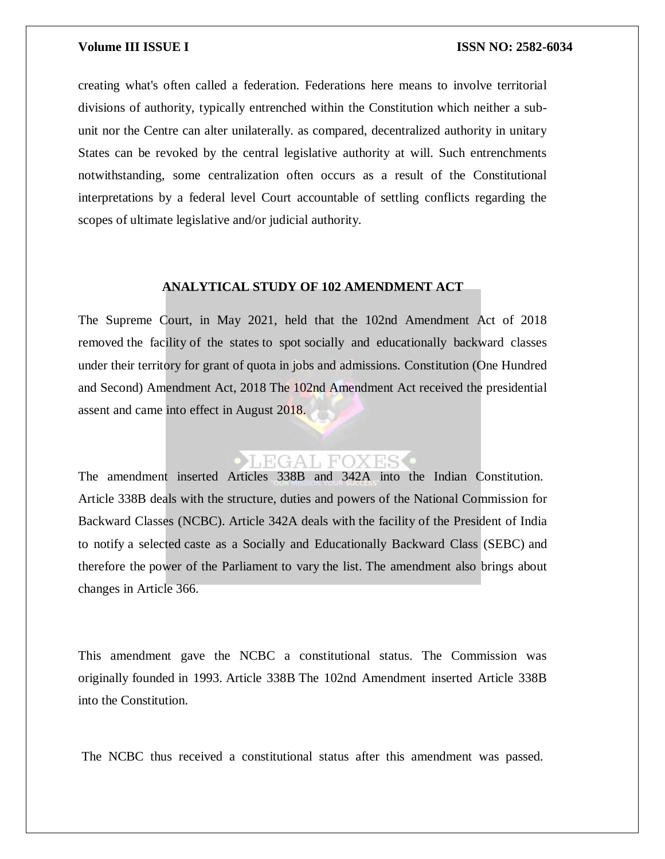creating what's often called a federation. Federations here means to involve territorial divisions of authority, typically entrenched within the Constitution which neither a subunit nor the Centre can alter unilaterally. as compared, decentralized authority in unitary States can be revoked by the central legislative authority at will. Such entrenchments notwithstanding, some centralization often occurs as a result of the Constitutional interpretations by a federal level Court accountable of settling conflicts regarding the scopes of ultimate legislative and/or judicial authority.

### **ANALYTICAL STUDY OF 102 AMENDMENT ACT**

The Supreme Court, in May 2021, held that the 102nd Amendment Act of 2018 removed the facility of the states to spot socially and educationally backward classes under their territory for grant of quota in jobs and admissions. Constitution (One Hundred and Second) Amendment Act, 2018 The 102nd Amendment Act received the presidential assent and came into effect in August 2018.

### LEGAL FOXES

The amendment inserted Articles 338B and 342A into the Indian Constitution. Article 338B deals with the structure, duties and powers of the National Commission for Backward Classes (NCBC). Article 342A deals with the facility of the President of India to notify a selected caste as a Socially and Educationally Backward Class (SEBC) and therefore the power of the Parliament to vary the list. The amendment also brings about changes in Article 366.

This amendment gave the NCBC a constitutional status. The Commission was originally founded in 1993. Article 338B The 102nd Amendment inserted Article 338B into the Constitution.

The NCBC thus received a constitutional status after this amendment was passed.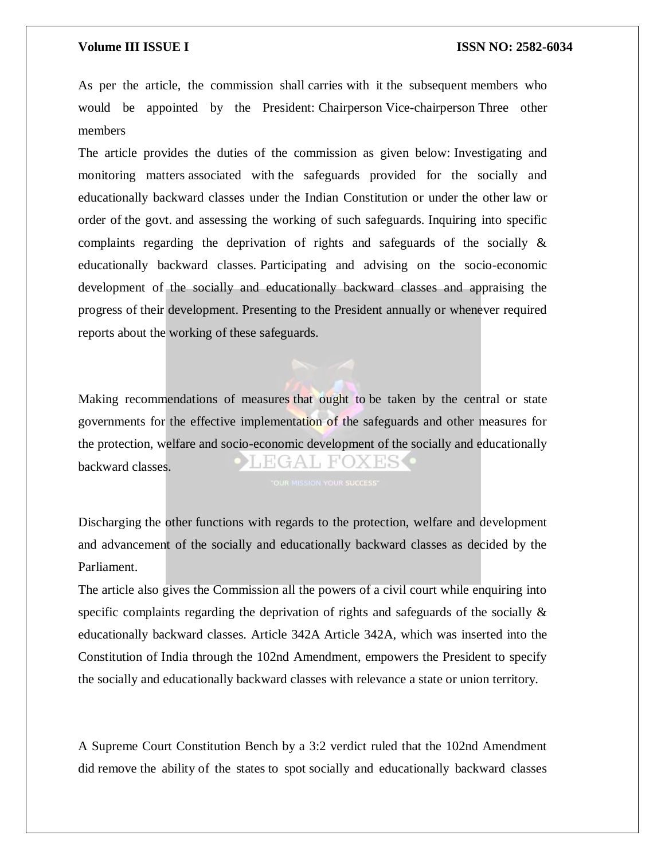As per the article, the commission shall carries with it the subsequent members who would be appointed by the President: Chairperson Vice-chairperson Three other members

The article provides the duties of the commission as given below: Investigating and monitoring matters associated with the safeguards provided for the socially and educationally backward classes under the Indian Constitution or under the other law or order of the govt. and assessing the working of such safeguards. Inquiring into specific complaints regarding the deprivation of rights and safeguards of the socially & educationally backward classes. Participating and advising on the socio-economic development of the socially and educationally backward classes and appraising the progress of their development. Presenting to the President annually or whenever required reports about the working of these safeguards.

Making recommendations of measures that ought to be taken by the central or state governments for the effective implementation of the safeguards and other measures for the protection, welfare and socio-economic development of the socially and educationally ∄A I⊥F'O. backward classes.

Discharging the other functions with regards to the protection, welfare and development and advancement of the socially and educationally backward classes as decided by the Parliament.

The article also gives the Commission all the powers of a civil court while enquiring into specific complaints regarding the deprivation of rights and safeguards of the socially  $\&$ educationally backward classes. Article 342A Article 342A, which was inserted into the Constitution of India through the 102nd Amendment, empowers the President to specify the socially and educationally backward classes with relevance a state or union territory.

A Supreme Court Constitution Bench by a 3:2 verdict ruled that the 102nd Amendment did remove the ability of the states to spot socially and educationally backward classes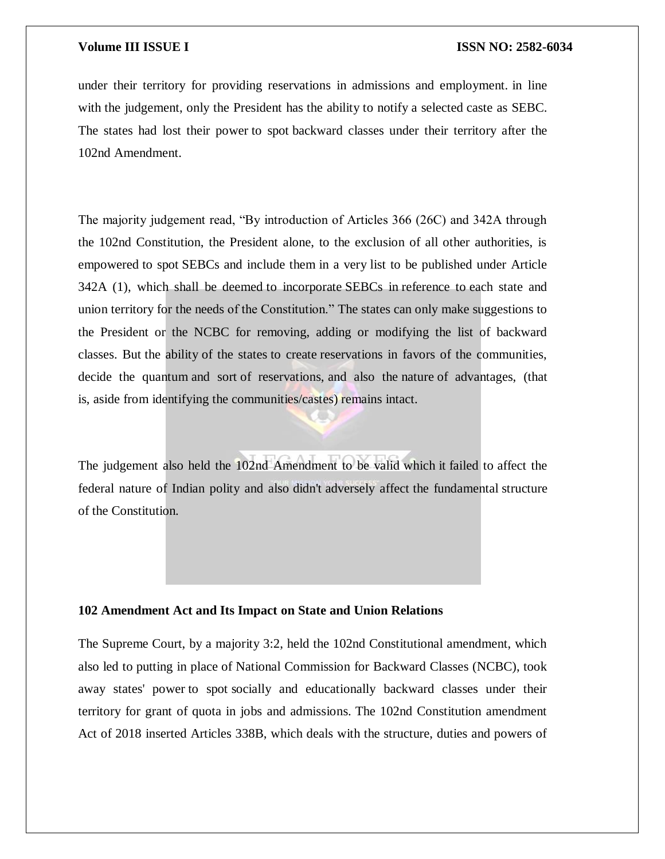under their territory for providing reservations in admissions and employment. in line with the judgement, only the President has the ability to notify a selected caste as SEBC. The states had lost their power to spot backward classes under their territory after the 102nd Amendment.

The majority judgement read, "By introduction of Articles 366 (26C) and 342A through the 102nd Constitution, the President alone, to the exclusion of all other authorities, is empowered to spot SEBCs and include them in a very list to be published under Article 342A (1), which shall be deemed to incorporate SEBCs in reference to each state and union territory for the needs of the Constitution." The states can only make suggestions to the President or the NCBC for removing, adding or modifying the list of backward classes. But the ability of the states to create reservations in favors of the communities, decide the quantum and sort of reservations, and also the nature of advantages, (that is, aside from identifying the communities/castes) remains intact.

The judgement also held the 102nd Amendment to be valid which it failed to affect the federal nature of Indian polity and also didn't adversely affect the fundamental structure of the Constitution.

### **102 Amendment Act and Its Impact on State and Union Relations**

The Supreme Court, by a majority 3:2, held the 102nd Constitutional amendment, which also led to putting in place of National Commission for Backward Classes (NCBC), took away states' power to spot socially and educationally backward classes under their territory for grant of quota in jobs and admissions. The 102nd Constitution amendment Act of 2018 inserted Articles 338B, which deals with the structure, duties and powers of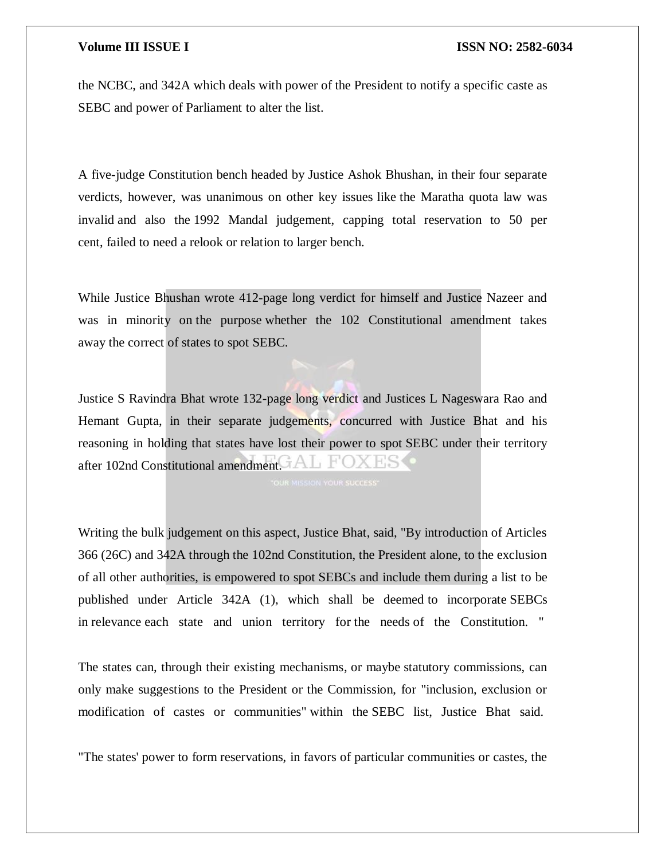the NCBC, and 342A which deals with power of the President to notify a specific caste as SEBC and power of Parliament to alter the list.

A five-judge Constitution bench headed by Justice Ashok Bhushan, in their four separate verdicts, however, was unanimous on other key issues like the Maratha quota law was invalid and also the 1992 Mandal judgement, capping total reservation to 50 per cent, failed to need a relook or relation to larger bench.

While Justice Bhushan wrote 412-page long verdict for himself and Justice Nazeer and was in minority on the purpose whether the 102 Constitutional amendment takes away the correct of states to spot SEBC.

Justice S Ravindra Bhat wrote 132-page long verdict and Justices L Nageswara Rao and Hemant Gupta, in their separate judgements, concurred with Justice Bhat and his reasoning in holding that states have lost their power to spot SEBC under their territory after 102nd Constitutional amendment.  $AL$  FOXES

Writing the bulk judgement on this aspect, Justice Bhat, said, "By introduction of Articles 366 (26C) and 342A through the 102nd Constitution, the President alone, to the exclusion of all other authorities, is empowered to spot SEBCs and include them during a list to be published under Article 342A (1), which shall be deemed to incorporate SEBCs in relevance each state and union territory for the needs of the Constitution. "

The states can, through their existing mechanisms, or maybe statutory commissions, can only make suggestions to the President or the Commission, for "inclusion, exclusion or modification of castes or communities" within the SEBC list, Justice Bhat said.

"The states' power to form reservations, in favors of particular communities or castes, the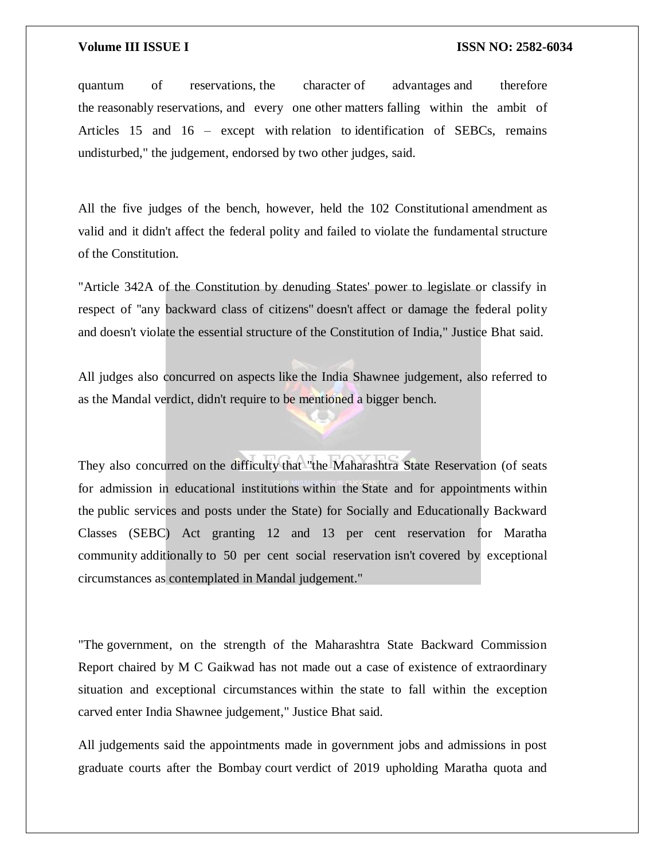quantum of reservations, the character of advantages and therefore the reasonably reservations, and every one other matters falling within the ambit of Articles 15 and 16 – except with relation to identification of SEBCs, remains undisturbed," the judgement, endorsed by two other judges, said.

All the five judges of the bench, however, held the 102 Constitutional amendment as valid and it didn't affect the federal polity and failed to violate the fundamental structure of the Constitution.

"Article 342A of the Constitution by denuding States' power to legislate or classify in respect of ''any backward class of citizens'' doesn't affect or damage the federal polity and doesn't violate the essential structure of the Constitution of India," Justice Bhat said.

All judges also concurred on aspects like the India Shawnee judgement, also referred to as the Mandal verdict, didn't require to be mentioned a bigger bench.

They also concurred on the difficulty that "the Maharashtra State Reservation (of seats for admission in educational institutions within the State and for appointments within the public services and posts under the State) for Socially and Educationally Backward Classes (SEBC) Act granting 12 and 13 per cent reservation for Maratha community additionally to 50 per cent social reservation isn't covered by exceptional circumstances as contemplated in Mandal judgement."

"The government, on the strength of the Maharashtra State Backward Commission Report chaired by M C Gaikwad has not made out a case of existence of extraordinary situation and exceptional circumstances within the state to fall within the exception carved enter India Shawnee judgement," Justice Bhat said.

All judgements said the appointments made in government jobs and admissions in post graduate courts after the Bombay court verdict of 2019 upholding Maratha quota and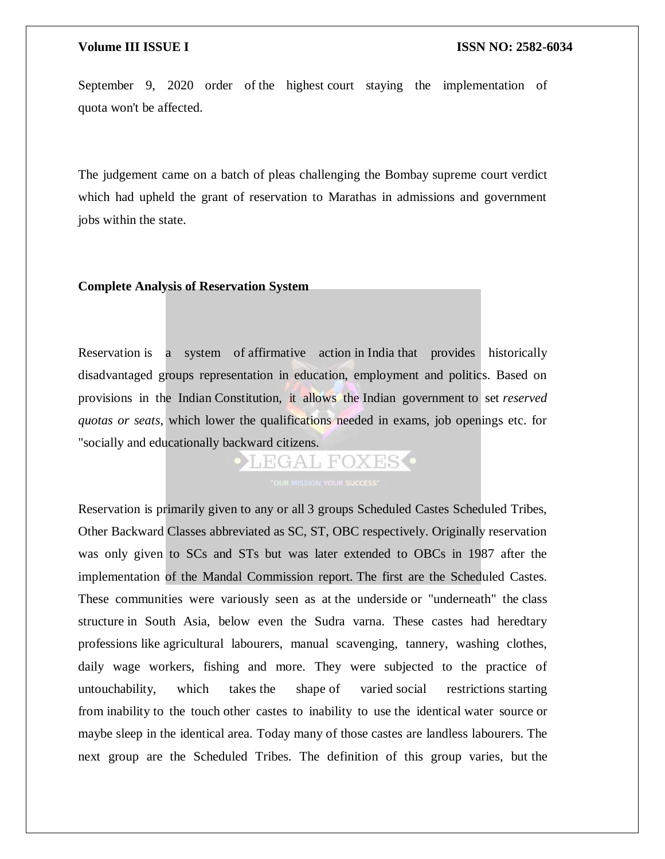September 9, 2020 order of the highest court staying the implementation of quota won't be affected.

The judgement came on a batch of pleas challenging the Bombay supreme court verdict which had upheld the grant of reservation to Marathas in admissions and government jobs within the state.

### **Complete Analysis of Reservation System**

Reservation is a system of affirmative action in India that provides historically disadvantaged groups representation in education, employment and politics. Based on provisions in the Indian Constitution, it allows the Indian government to set *reserved quotas or seats*, which lower the qualifications needed in exams, job openings etc. for "socially and educationally backward citizens.

LEGAL FOXES<sup>.</sup>

Reservation is primarily given to any or all 3 groups Scheduled Castes Scheduled Tribes, Other Backward Classes abbreviated as SC, ST, OBC respectively. Originally reservation was only given to SCs and STs but was later extended to OBCs in 1987 after the implementation of the Mandal Commission report. The first are the Scheduled Castes. These communities were variously seen as at the underside or "underneath" the class structure in South Asia, below even the Sudra varna. These castes had heredtary professions like agricultural labourers, manual scavenging, tannery, washing clothes, daily wage workers, fishing and more. They were subjected to the practice of untouchability, which takes the shape of varied social restrictions starting from inability to the touch other castes to inability to use the identical water source or maybe sleep in the identical area. Today many of those castes are landless labourers. The next group are the Scheduled Tribes. The definition of this group varies, but the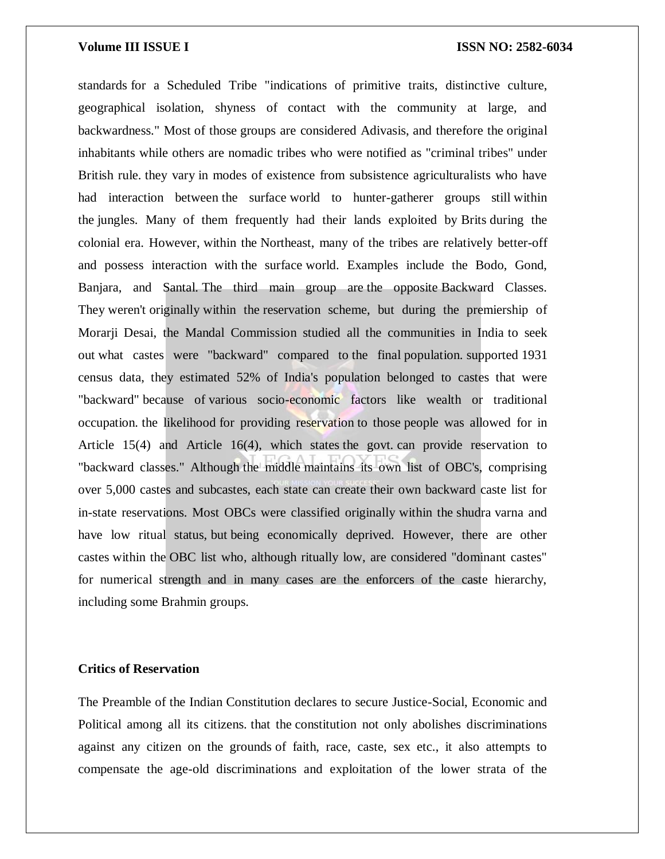standards for a Scheduled Tribe "indications of primitive traits, distinctive culture, geographical isolation, shyness of contact with the community at large, and backwardness." Most of those groups are considered Adivasis, and therefore the original inhabitants while others are nomadic tribes who were notified as "criminal tribes" under British rule. they vary in modes of existence from subsistence agriculturalists who have had interaction between the surface world to hunter-gatherer groups still within the jungles. Many of them frequently had their lands exploited by Brits during the colonial era. However, within the Northeast, many of the tribes are relatively better-off and possess interaction with the surface world. Examples include the Bodo, Gond, Banjara, and Santal. The third main group are the opposite Backward Classes. They weren't originally within the reservation scheme, but during the premiership of Morarji Desai, the Mandal Commission studied all the communities in India to seek out what castes were "backward" compared to the final population. supported 1931 census data, they estimated 52% of India's population belonged to castes that were "backward" because of various socio-economic factors like wealth or traditional occupation. the likelihood for providing reservation to those people was allowed for in Article 15(4) and Article 16(4), which states the govt. can provide reservation to "backward classes." Although the middle maintains its own list of OBC's, comprising over 5,000 castes and subcastes, each state can create their own backward caste list for in-state reservations. Most OBCs were classified originally within the shudra varna and have low ritual status, but being economically deprived. However, there are other castes within the OBC list who, although ritually low, are considered "dominant castes" for numerical strength and in many cases are the enforcers of the caste hierarchy, including some Brahmin groups.

### **Critics of Reservation**

The Preamble of the Indian Constitution declares to secure Justice-Social, Economic and Political among all its citizens. that the constitution not only abolishes discriminations against any citizen on the grounds of faith, race, caste, sex etc., it also attempts to compensate the age-old discriminations and exploitation of the lower strata of the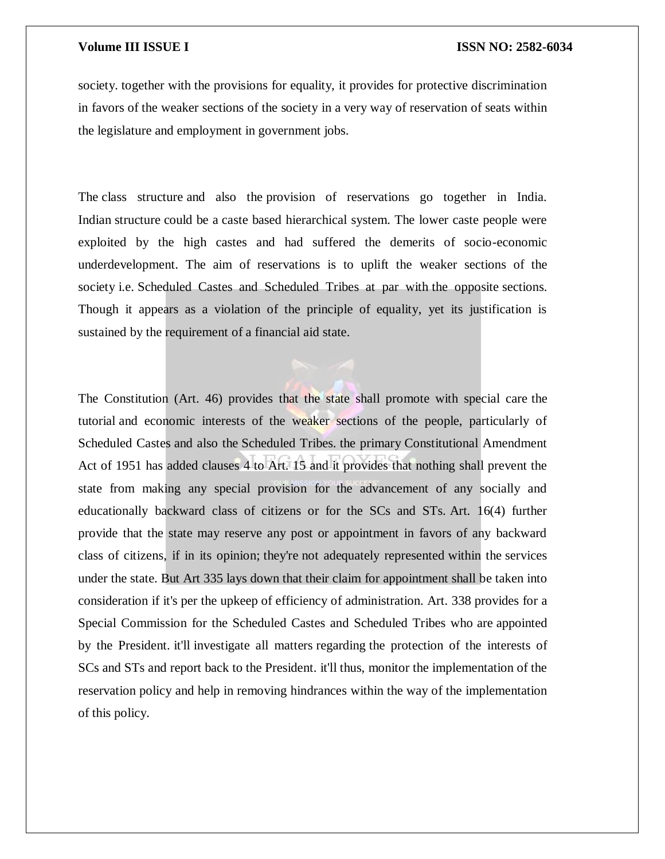society. together with the provisions for equality, it provides for protective discrimination in favors of the weaker sections of the society in a very way of reservation of seats within the legislature and employment in government jobs.

The class structure and also the provision of reservations go together in India. Indian structure could be a caste based hierarchical system. The lower caste people were exploited by the high castes and had suffered the demerits of socio-economic underdevelopment. The aim of reservations is to uplift the weaker sections of the society i.e. Scheduled Castes and Scheduled Tribes at par with the opposite sections. Though it appears as a violation of the principle of equality, yet its justification is sustained by the requirement of a financial aid state.

The Constitution (Art. 46) provides that the state shall promote with special care the tutorial and economic interests of the weaker sections of the people, particularly of Scheduled Castes and also the Scheduled Tribes. the primary Constitutional Amendment Act of 1951 has added clauses 4 to Art. 15 and it provides that nothing shall prevent the state from making any special provision for the advancement of any socially and educationally backward class of citizens or for the SCs and STs. Art. 16(4) further provide that the state may reserve any post or appointment in favors of any backward class of citizens, if in its opinion; they're not adequately represented within the services under the state. But Art 335 lays down that their claim for appointment shall be taken into consideration if it's per the upkeep of efficiency of administration. Art. 338 provides for a Special Commission for the Scheduled Castes and Scheduled Tribes who are appointed by the President. it'll investigate all matters regarding the protection of the interests of SCs and STs and report back to the President. it'll thus, monitor the implementation of the reservation policy and help in removing hindrances within the way of the implementation of this policy.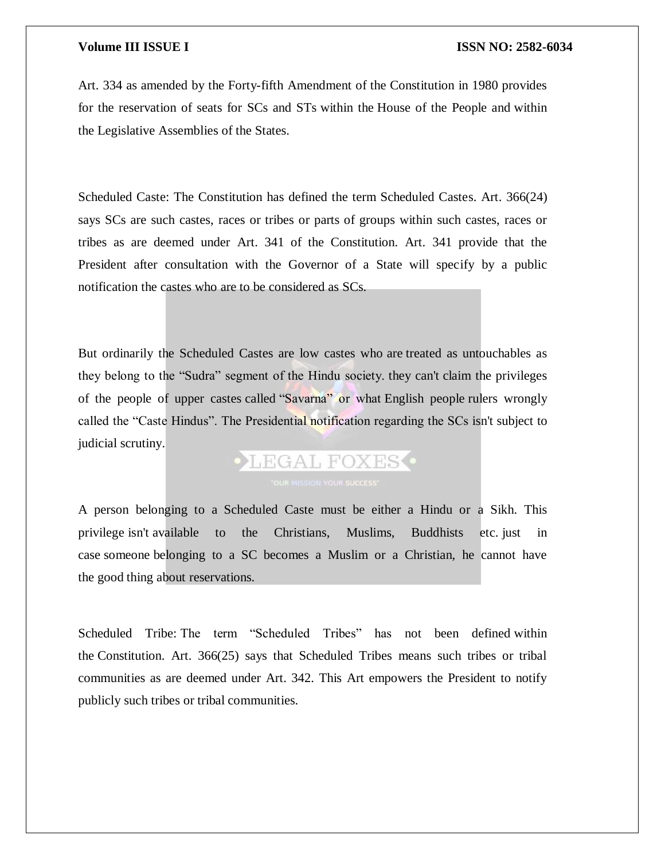Art. 334 as amended by the Forty-fifth Amendment of the Constitution in 1980 provides for the reservation of seats for SCs and STs within the House of the People and within the Legislative Assemblies of the States.

Scheduled Caste: The Constitution has defined the term Scheduled Castes. Art. 366(24) says SCs are such castes, races or tribes or parts of groups within such castes, races or tribes as are deemed under Art. 341 of the Constitution. Art. 341 provide that the President after consultation with the Governor of a State will specify by a public notification the castes who are to be considered as SCs.

But ordinarily the Scheduled Castes are low castes who are treated as untouchables as they belong to the "Sudra" segment of the Hindu society. they can't claim the privileges of the people of upper castes called "Savarna" or what English people rulers wrongly called the "Caste Hindus". The Presidential notification regarding the SCs isn't subject to judicial scrutiny.

# **OLEGAL FOXES**

A person belonging to a Scheduled Caste must be either a Hindu or a Sikh. This privilege isn't available to the Christians, Muslims, Buddhists etc. just in case someone belonging to a SC becomes a Muslim or a Christian, he cannot have the good thing about reservations.

Scheduled Tribe: The term "Scheduled Tribes" has not been defined within the Constitution. Art. 366(25) says that Scheduled Tribes means such tribes or tribal communities as are deemed under Art. 342. This Art empowers the President to notify publicly such tribes or tribal communities.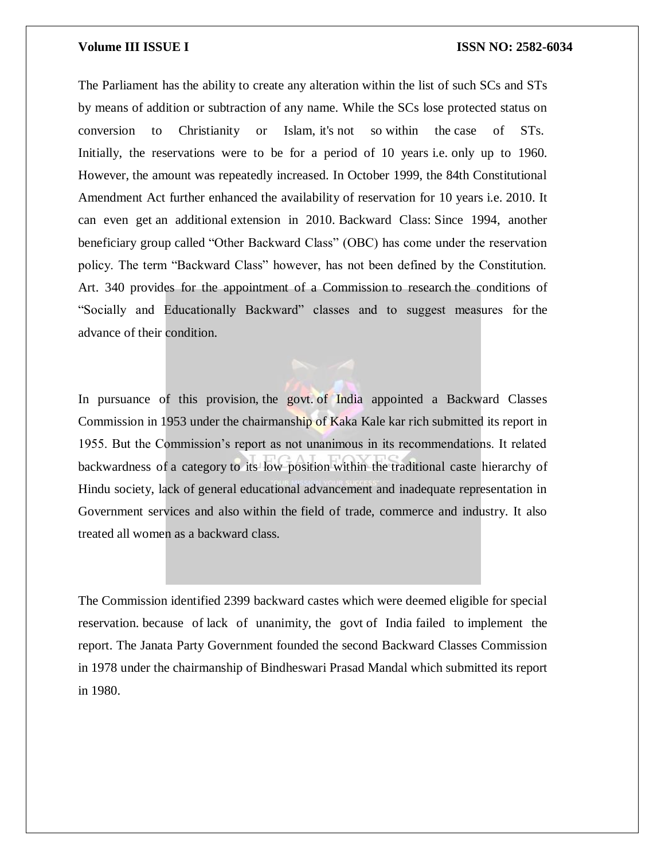The Parliament has the ability to create any alteration within the list of such SCs and STs by means of addition or subtraction of any name. While the SCs lose protected status on conversion to Christianity or Islam, it's not so within the case of STs. Initially, the reservations were to be for a period of 10 years i.e. only up to 1960. However, the amount was repeatedly increased. In October 1999, the 84th Constitutional Amendment Act further enhanced the availability of reservation for 10 years i.e. 2010. It can even get an additional extension in 2010. Backward Class: Since 1994, another beneficiary group called "Other Backward Class" (OBC) has come under the reservation policy. The term "Backward Class" however, has not been defined by the Constitution. Art. 340 provides for the appointment of a Commission to research the conditions of "Socially and Educationally Backward" classes and to suggest measures for the advance of their condition.

In pursuance of this provision, the govt. of India appointed a Backward Classes Commission in 1953 under the chairmanship of Kaka Kale kar rich submitted its report in 1955. But the Commission's report as not unanimous in its recommendations. It related backwardness of a category to its low position within the traditional caste hierarchy of Hindu society, lack of general educational advancement and inadequate representation in Government services and also within the field of trade, commerce and industry. It also treated all women as a backward class.

The Commission identified 2399 backward castes which were deemed eligible for special reservation. because of lack of unanimity, the govt of India failed to implement the report. The Janata Party Government founded the second Backward Classes Commission in 1978 under the chairmanship of Bindheswari Prasad Mandal which submitted its report in 1980.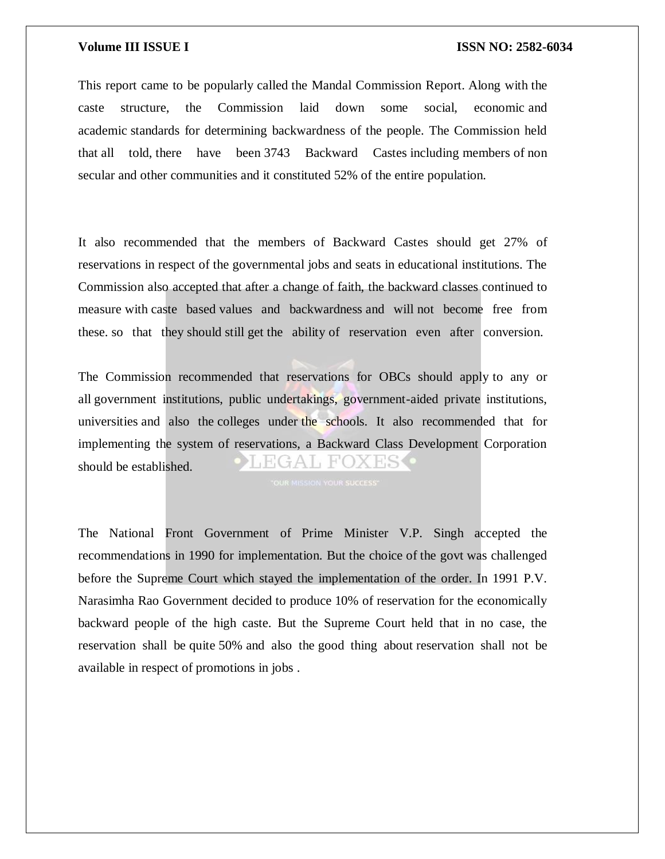This report came to be popularly called the Mandal Commission Report. Along with the caste structure, the Commission laid down some social, economic and academic standards for determining backwardness of the people. The Commission held that all told, there have been 3743 Backward Castes including members of non secular and other communities and it constituted 52% of the entire population.

It also recommended that the members of Backward Castes should get 27% of reservations in respect of the governmental jobs and seats in educational institutions. The Commission also accepted that after a change of faith, the backward classes continued to measure with caste based values and backwardness and will not become free from these. so that they should still get the ability of reservation even after conversion.

The Commission recommended that reservations for OBCs should apply to any or all government institutions, public undertakings, government-aided private institutions, universities and also the colleges under the schools. It also recommended that for implementing the system of reservations, a Backward Class Development Corporation EGAL FOX ES C should be established.

The National Front Government of Prime Minister V.P. Singh accepted the recommendations in 1990 for implementation. But the choice of the govt was challenged before the Supreme Court which stayed the implementation of the order. In 1991 P.V. Narasimha Rao Government decided to produce 10% of reservation for the economically backward people of the high caste. But the Supreme Court held that in no case, the reservation shall be quite 50% and also the good thing about reservation shall not be available in respect of promotions in jobs .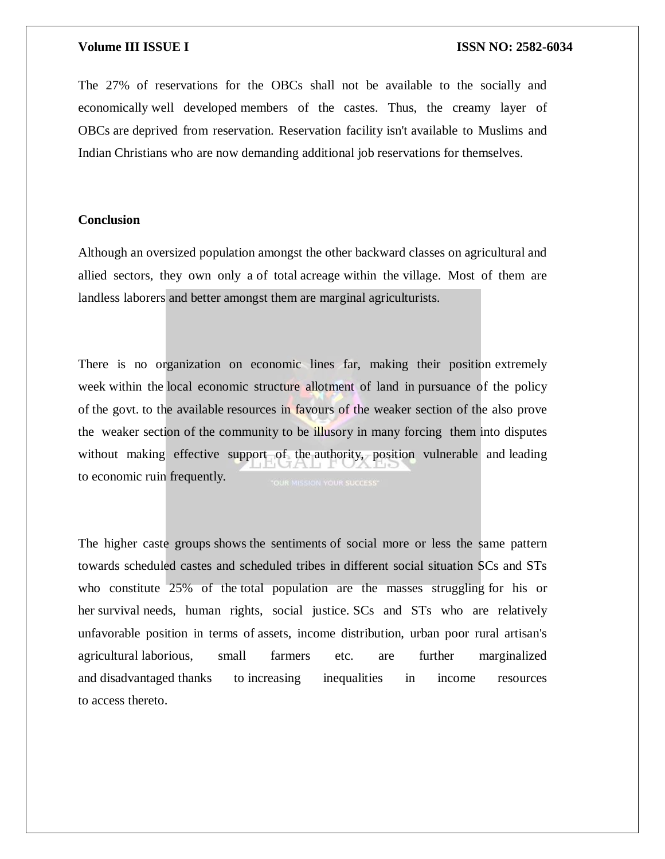The 27% of reservations for the OBCs shall not be available to the socially and economically well developed members of the castes. Thus, the creamy layer of OBCs are deprived from reservation. Reservation facility isn't available to Muslims and Indian Christians who are now demanding additional job reservations for themselves.

### **Conclusion**

Although an oversized population amongst the other backward classes on agricultural and allied sectors, they own only a of total acreage within the village. Most of them are landless laborers and better amongst them are marginal agriculturists.

There is no organization on economic lines far, making their position extremely week within the local economic structure allotment of land in pursuance of the policy of the govt. to the available resources in favours of the weaker section of the also prove the weaker section of the community to be illusory in many forcing them into disputes without making effective support of the authority, position vulnerable and leading to economic ruin frequently.

The higher caste groups shows the sentiments of social more or less the same pattern towards scheduled castes and scheduled tribes in different social situation SCs and STs who constitute 25% of the total population are the masses struggling for his or her survival needs, human rights, social justice. SCs and STs who are relatively unfavorable position in terms of assets, income distribution, urban poor rural artisan's agricultural laborious, small farmers etc. are further marginalized and disadvantaged thanks to increasing inequalities in income resources to access thereto.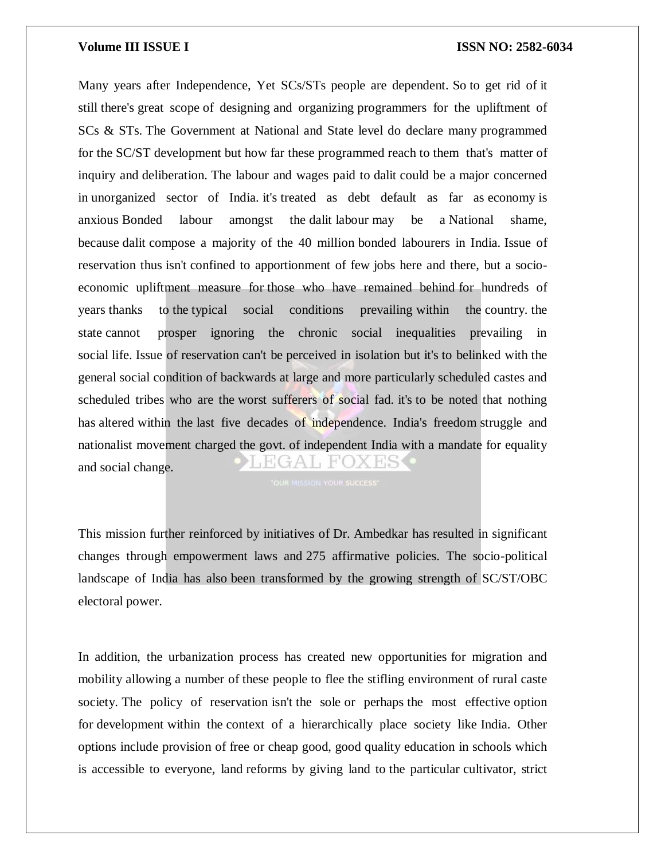Many years after Independence, Yet SCs/STs people are dependent. So to get rid of it still there's great scope of designing and organizing programmers for the upliftment of SCs & STs. The Government at National and State level do declare many programmed for the SC/ST development but how far these programmed reach to them that's matter of inquiry and deliberation. The labour and wages paid to dalit could be a major concerned in unorganized sector of India. it's treated as debt default as far as economy is anxious Bonded labour amongst the dalit labour may be a National shame, because dalit compose a majority of the 40 million bonded labourers in India. Issue of reservation thus isn't confined to apportionment of few jobs here and there, but a socioeconomic upliftment measure for those who have remained behind for hundreds of years thanks to the typical social conditions prevailing within the country. the state cannot prosper ignoring the chronic social inequalities prevailing in social life. Issue of reservation can't be perceived in isolation but it's to belinked with the general social condition of backwards at large and more particularly scheduled castes and scheduled tribes who are the worst sufferers of social fad. it's to be noted that nothing has altered within the last five decades of independence. India's freedom struggle and nationalist movement charged the govt. of independent India with a mandate for equality HGAL FO and social change.

This mission further reinforced by initiatives of Dr. Ambedkar has resulted in significant changes through empowerment laws and 275 affirmative policies. The socio-political landscape of India has also been transformed by the growing strength of SC/ST/OBC electoral power.

In addition, the urbanization process has created new opportunities for migration and mobility allowing a number of these people to flee the stifling environment of rural caste society. The policy of reservation isn't the sole or perhaps the most effective option for development within the context of a hierarchically place society like India. Other options include provision of free or cheap good, good quality education in schools which is accessible to everyone, land reforms by giving land to the particular cultivator, strict